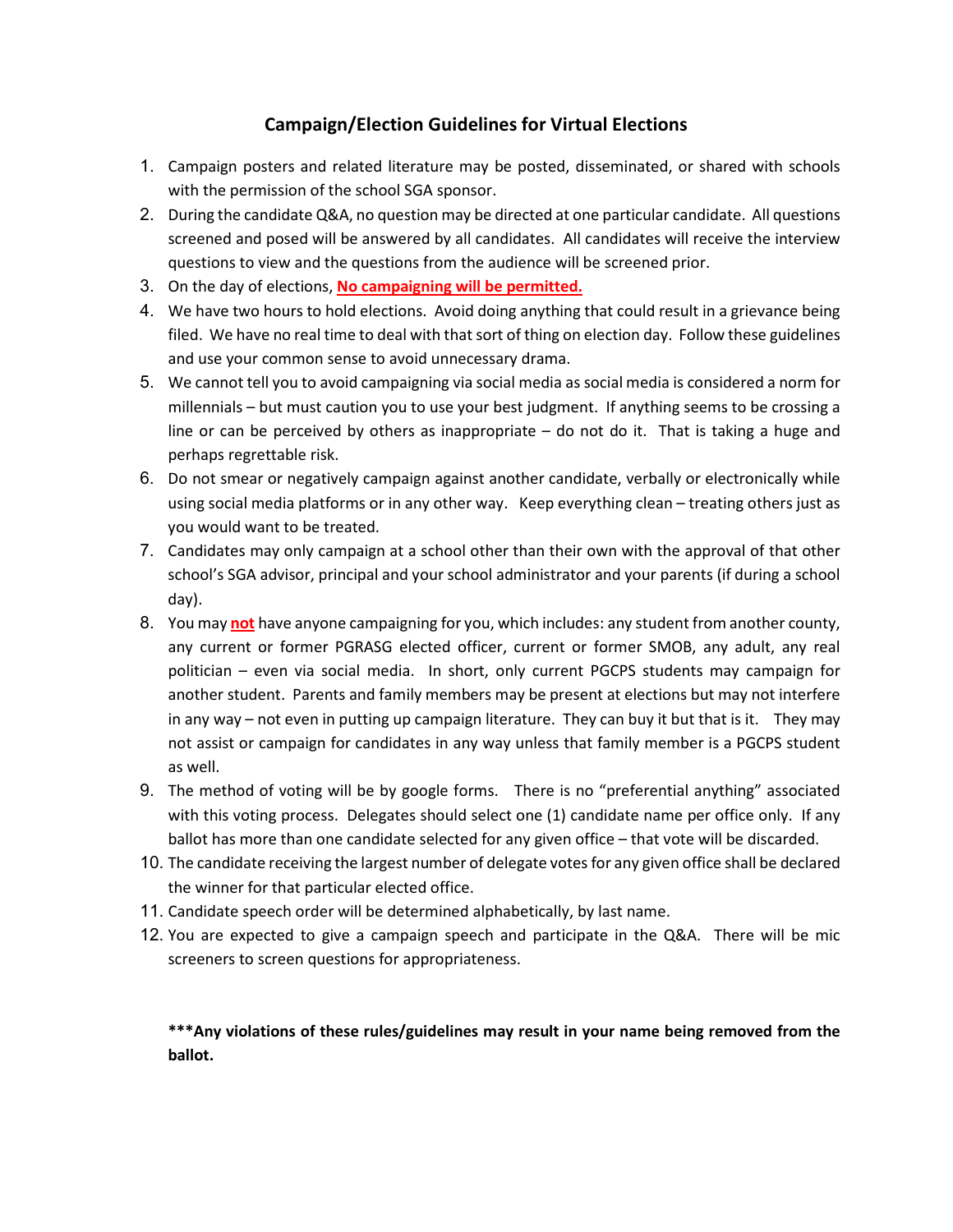# **Campaign/Election Guidelines for Virtual Elections**

- 1. Campaign posters and related literature may be posted, disseminated, or shared with schools with the permission of the school SGA sponsor.
- 2. During the candidate Q&A, no question may be directed at one particular candidate. All questions screened and posed will be answered by all candidates. All candidates will receive the interview questions to view and the questions from the audience will be screened prior.
- 3. On the day of elections, **No campaigning will be permitted.**
- 4. We have two hours to hold elections. Avoid doing anything that could result in a grievance being filed. We have no real time to deal with that sort of thing on election day. Follow these guidelines and use your common sense to avoid unnecessary drama.
- 5. We cannot tell you to avoid campaigning via social media as social media is considered a norm for millennials – but must caution you to use your best judgment. If anything seems to be crossing a line or can be perceived by others as inappropriate – do not do it. That is taking a huge and perhaps regrettable risk.
- 6. Do not smear or negatively campaign against another candidate, verbally or electronically while using social media platforms or in any other way. Keep everything clean – treating others just as you would want to be treated.
- 7. Candidates may only campaign at a school other than their own with the approval of that other school's SGA advisor, principal and your school administrator and your parents (if during a school day).
- 8. You may **not** have anyone campaigning for you, which includes: any student from another county, any current or former PGRASG elected officer, current or former SMOB, any adult, any real politician – even via social media. In short, only current PGCPS students may campaign for another student. Parents and family members may be present at elections but may not interfere in any way – not even in putting up campaign literature. They can buy it but that is it. They may not assist or campaign for candidates in any way unless that family member is a PGCPS student as well.
- 9. The method of voting will be by google forms. There is no "preferential anything" associated with this voting process. Delegates should select one (1) candidate name per office only. If any ballot has more than one candidate selected for any given office – that vote will be discarded.
- 10. The candidate receiving the largest number of delegate votes for any given office shall be declared the winner for that particular elected office.
- 11. Candidate speech order will be determined alphabetically, by last name.
- 12. You are expected to give a campaign speech and participate in the Q&A. There will be mic screeners to screen questions for appropriateness.

**\*\*\*Any violations of these rules/guidelines may result in your name being removed from the ballot.**